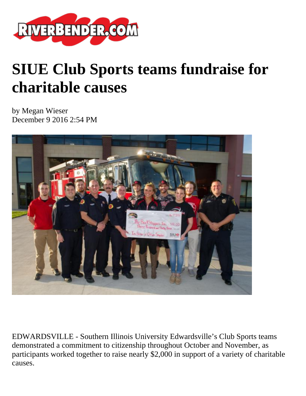

## **SIUE Club Sports teams fundraise for charitable causes**

by Megan Wieser December 9 2016 2:54 PM



EDWARDSVILLE - Southern Illinois University Edwardsville's Club Sports teams demonstrated a commitment to citizenship throughout October and November, as participants worked together to raise nearly \$2,000 in support of a variety of charitable causes.